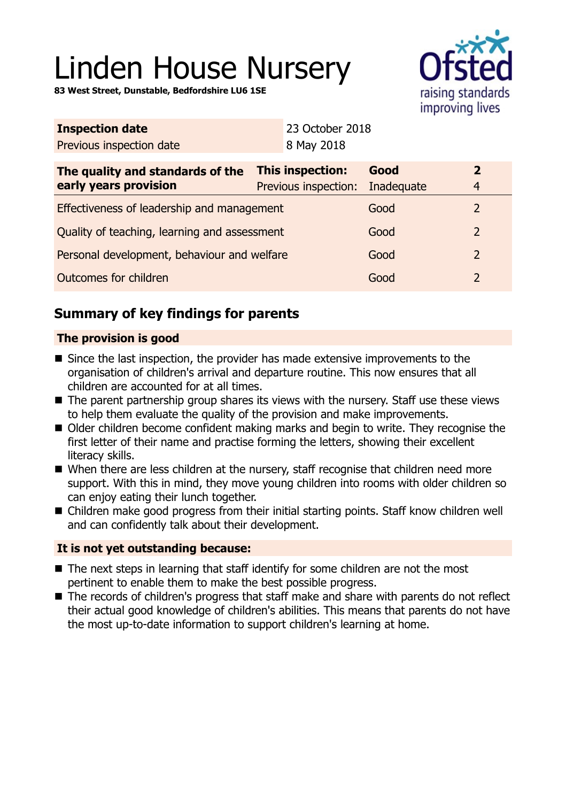# Linden House Nursery

**83 West Street, Dunstable, Bedfordshire LU6 1SE**



| <b>Inspection date</b>                                    | 23 October 2018                                            |      |                                           |
|-----------------------------------------------------------|------------------------------------------------------------|------|-------------------------------------------|
| Previous inspection date                                  | 8 May 2018                                                 |      |                                           |
| The quality and standards of the<br>early years provision | <b>This inspection:</b><br>Previous inspection: Inadequate | Good | $\overline{\mathbf{2}}$<br>$\overline{4}$ |
|                                                           |                                                            |      |                                           |

| Effectiveness of leadership and management   | Good | $\mathcal{L}$ |
|----------------------------------------------|------|---------------|
| Quality of teaching, learning and assessment | Good | $\mathcal{P}$ |
| Personal development, behaviour and welfare  | Good | $\mathcal{P}$ |
| Outcomes for children                        | Good |               |

# **Summary of key findings for parents**

## **The provision is good**

- $\blacksquare$  Since the last inspection, the provider has made extensive improvements to the organisation of children's arrival and departure routine. This now ensures that all children are accounted for at all times.
- $\blacksquare$  The parent partnership group shares its views with the nursery. Staff use these views to help them evaluate the quality of the provision and make improvements.
- Older children become confident making marks and begin to write. They recognise the first letter of their name and practise forming the letters, showing their excellent literacy skills.
- When there are less children at the nursery, staff recognise that children need more support. With this in mind, they move young children into rooms with older children so can enjoy eating their lunch together.
- Children make good progress from their initial starting points. Staff know children well and can confidently talk about their development.

### **It is not yet outstanding because:**

- $\blacksquare$  The next steps in learning that staff identify for some children are not the most pertinent to enable them to make the best possible progress.
- The records of children's progress that staff make and share with parents do not reflect their actual good knowledge of children's abilities. This means that parents do not have the most up-to-date information to support children's learning at home.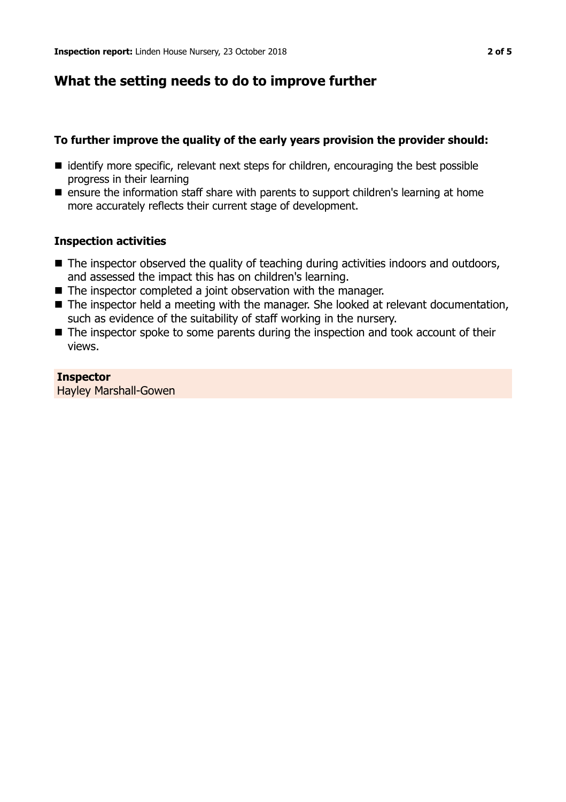## **What the setting needs to do to improve further**

#### **To further improve the quality of the early years provision the provider should:**

- identify more specific, relevant next steps for children, encouraging the best possible progress in their learning
- **n** ensure the information staff share with parents to support children's learning at home more accurately reflects their current stage of development.

#### **Inspection activities**

- $\blacksquare$  The inspector observed the quality of teaching during activities indoors and outdoors, and assessed the impact this has on children's learning.
- $\blacksquare$  The inspector completed a joint observation with the manager.
- The inspector held a meeting with the manager. She looked at relevant documentation, such as evidence of the suitability of staff working in the nursery.
- $\blacksquare$  The inspector spoke to some parents during the inspection and took account of their views.

#### **Inspector**

Hayley Marshall-Gowen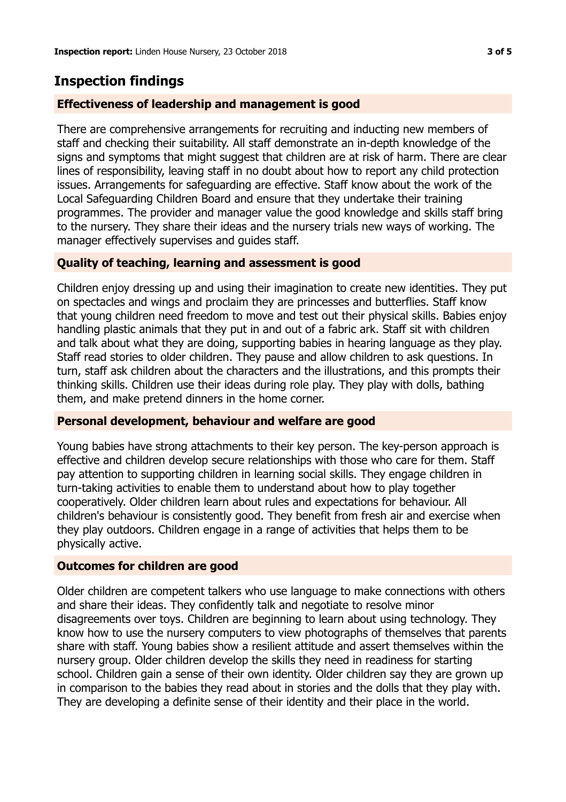## **Inspection findings**

#### **Effectiveness of leadership and management is good**

There are comprehensive arrangements for recruiting and inducting new members of staff and checking their suitability. All staff demonstrate an in-depth knowledge of the signs and symptoms that might suggest that children are at risk of harm. There are clear lines of responsibility, leaving staff in no doubt about how to report any child protection issues. Arrangements for safeguarding are effective. Staff know about the work of the Local Safeguarding Children Board and ensure that they undertake their training programmes. The provider and manager value the good knowledge and skills staff bring to the nursery. They share their ideas and the nursery trials new ways of working. The manager effectively supervises and guides staff.

#### **Quality of teaching, learning and assessment is good**

Children enjoy dressing up and using their imagination to create new identities. They put on spectacles and wings and proclaim they are princesses and butterflies. Staff know that young children need freedom to move and test out their physical skills. Babies enjoy handling plastic animals that they put in and out of a fabric ark. Staff sit with children and talk about what they are doing, supporting babies in hearing language as they play. Staff read stories to older children. They pause and allow children to ask questions. In turn, staff ask children about the characters and the illustrations, and this prompts their thinking skills. Children use their ideas during role play. They play with dolls, bathing them, and make pretend dinners in the home corner.

#### **Personal development, behaviour and welfare are good**

Young babies have strong attachments to their key person. The key-person approach is effective and children develop secure relationships with those who care for them. Staff pay attention to supporting children in learning social skills. They engage children in turn-taking activities to enable them to understand about how to play together cooperatively. Older children learn about rules and expectations for behaviour. All children's behaviour is consistently good. They benefit from fresh air and exercise when they play outdoors. Children engage in a range of activities that helps them to be physically active.

#### **Outcomes for children are good**

Older children are competent talkers who use language to make connections with others and share their ideas. They confidently talk and negotiate to resolve minor disagreements over toys. Children are beginning to learn about using technology. They know how to use the nursery computers to view photographs of themselves that parents share with staff. Young babies show a resilient attitude and assert themselves within the nursery group. Older children develop the skills they need in readiness for starting school. Children gain a sense of their own identity. Older children say they are grown up in comparison to the babies they read about in stories and the dolls that they play with. They are developing a definite sense of their identity and their place in the world.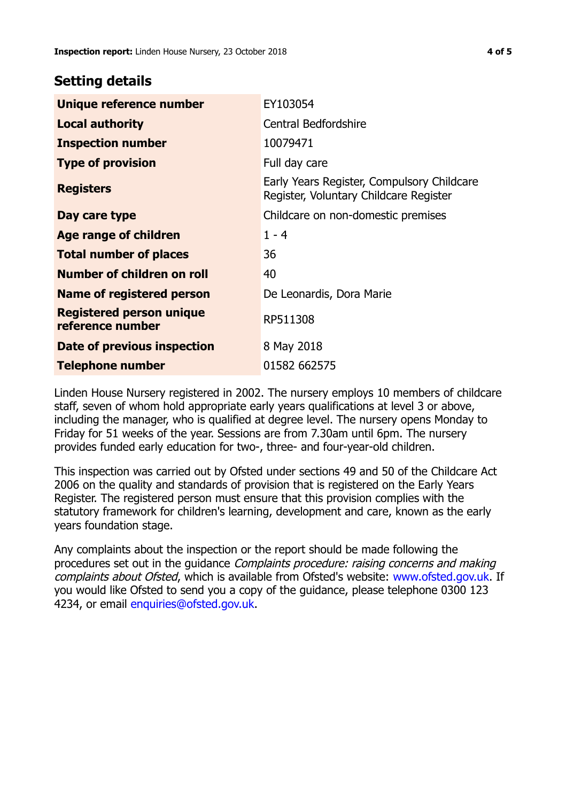## **Setting details**

| Unique reference number                             | EY103054                                                                             |
|-----------------------------------------------------|--------------------------------------------------------------------------------------|
| <b>Local authority</b>                              | <b>Central Bedfordshire</b>                                                          |
| <b>Inspection number</b>                            | 10079471                                                                             |
| <b>Type of provision</b>                            | Full day care                                                                        |
| <b>Registers</b>                                    | Early Years Register, Compulsory Childcare<br>Register, Voluntary Childcare Register |
| Day care type                                       | Childcare on non-domestic premises                                                   |
| Age range of children                               | $1 - 4$                                                                              |
| <b>Total number of places</b>                       | 36                                                                                   |
| Number of children on roll                          | 40                                                                                   |
| Name of registered person                           | De Leonardis, Dora Marie                                                             |
| <b>Registered person unique</b><br>reference number | RP511308                                                                             |
| Date of previous inspection                         | 8 May 2018                                                                           |
| <b>Telephone number</b>                             | 01582 662575                                                                         |

Linden House Nursery registered in 2002. The nursery employs 10 members of childcare staff, seven of whom hold appropriate early years qualifications at level 3 or above, including the manager, who is qualified at degree level. The nursery opens Monday to Friday for 51 weeks of the year. Sessions are from 7.30am until 6pm. The nursery provides funded early education for two-, three- and four-year-old children.

This inspection was carried out by Ofsted under sections 49 and 50 of the Childcare Act 2006 on the quality and standards of provision that is registered on the Early Years Register. The registered person must ensure that this provision complies with the statutory framework for children's learning, development and care, known as the early years foundation stage.

Any complaints about the inspection or the report should be made following the procedures set out in the guidance Complaints procedure: raising concerns and making complaints about Ofsted, which is available from Ofsted's website: www.ofsted.gov.uk. If you would like Ofsted to send you a copy of the guidance, please telephone 0300 123 4234, or email [enquiries@ofsted.gov.uk.](mailto:enquiries@ofsted.gov.uk)